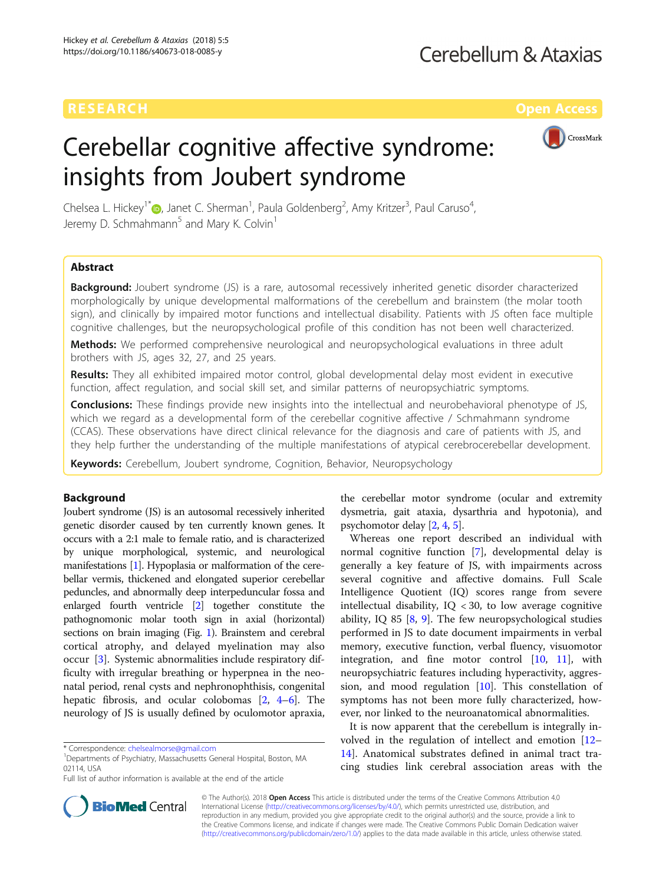# RESEARCH **RESEARCH CONSUMING THE CONSUMING THE CONSUMING TENS**



Cerebellar cognitive affective syndrome: insights from Joubert syndrome

Chelsea L. Hickey<sup>1[\\*](http://orcid.org/0000-0003-2688-6877)</sup>®, Janet C. Sherman<sup>1</sup>, Paula Goldenberg<sup>2</sup>, Amy Kritzer<sup>3</sup>, Paul Caruso<sup>4</sup> , Jeremy D. Schmahmann<sup>5</sup> and Mary K. Colvin<sup>1</sup>

## Abstract

Background: Joubert syndrome (JS) is a rare, autosomal recessively inherited genetic disorder characterized morphologically by unique developmental malformations of the cerebellum and brainstem (the molar tooth sign), and clinically by impaired motor functions and intellectual disability. Patients with JS often face multiple cognitive challenges, but the neuropsychological profile of this condition has not been well characterized.

Methods: We performed comprehensive neurological and neuropsychological evaluations in three adult brothers with JS, ages 32, 27, and 25 years.

Results: They all exhibited impaired motor control, global developmental delay most evident in executive function, affect regulation, and social skill set, and similar patterns of neuropsychiatric symptoms.

**Conclusions:** These findings provide new insights into the intellectual and neurobehavioral phenotype of JS, which we regard as a developmental form of the cerebellar cognitive affective / Schmahmann syndrome (CCAS). These observations have direct clinical relevance for the diagnosis and care of patients with JS, and they help further the understanding of the multiple manifestations of atypical cerebrocerebellar development.

Keywords: Cerebellum, Joubert syndrome, Cognition, Behavior, Neuropsychology

## Background

Joubert syndrome (JS) is an autosomal recessively inherited genetic disorder caused by ten currently known genes. It occurs with a 2:1 male to female ratio, and is characterized by unique morphological, systemic, and neurological manifestations [\[1\]](#page-7-0). Hypoplasia or malformation of the cerebellar vermis, thickened and elongated superior cerebellar peduncles, and abnormally deep interpeduncular fossa and enlarged fourth ventricle [\[2\]](#page-7-0) together constitute the pathognomonic molar tooth sign in axial (horizontal) sections on brain imaging (Fig. [1](#page-1-0)). Brainstem and cerebral cortical atrophy, and delayed myelination may also occur [[3\]](#page-7-0). Systemic abnormalities include respiratory difficulty with irregular breathing or hyperpnea in the neonatal period, renal cysts and nephronophthisis, congenital hepatic fibrosis, and ocular colobomas [\[2](#page-7-0), [4](#page-7-0)–[6](#page-7-0)]. The neurology of JS is usually defined by oculomotor apraxia,

the cerebellar motor syndrome (ocular and extremity dysmetria, gait ataxia, dysarthria and hypotonia), and psychomotor delay [\[2,](#page-7-0) [4](#page-7-0), [5\]](#page-7-0).

Whereas one report described an individual with normal cognitive function [[7\]](#page-7-0), developmental delay is generally a key feature of JS, with impairments across several cognitive and affective domains. Full Scale Intelligence Quotient (IQ) scores range from severe intellectual disability, IQ < 30, to low average cognitive ability, IQ 85 [\[8](#page-7-0), [9\]](#page-7-0). The few neuropsychological studies performed in JS to date document impairments in verbal memory, executive function, verbal fluency, visuomotor integration, and fine motor control  $[10, 11]$  $[10, 11]$  $[10, 11]$ , with neuropsychiatric features including hyperactivity, aggression, and mood regulation  $[10]$  $[10]$ . This constellation of symptoms has not been more fully characterized, however, nor linked to the neuroanatomical abnormalities.

It is now apparent that the cerebellum is integrally involved in the regulation of intellect and emotion [[12](#page-7-0)– [14\]](#page-7-0). Anatomical substrates defined in animal tract tracing studies link cerebral association areas with the



© The Author(s). 2018 Open Access This article is distributed under the terms of the Creative Commons Attribution 4.0 International License [\(http://creativecommons.org/licenses/by/4.0/](http://creativecommons.org/licenses/by/4.0/)), which permits unrestricted use, distribution, and reproduction in any medium, provided you give appropriate credit to the original author(s) and the source, provide a link to the Creative Commons license, and indicate if changes were made. The Creative Commons Public Domain Dedication waiver [\(http://creativecommons.org/publicdomain/zero/1.0/](http://creativecommons.org/publicdomain/zero/1.0/)) applies to the data made available in this article, unless otherwise stated.

<sup>\*</sup> Correspondence: [chelsealmorse@gmail.com](mailto:chelsealmorse@gmail.com) <sup>1</sup>

<sup>&</sup>lt;sup>1</sup>Departments of Psychiatry, Massachusetts General Hospital, Boston, MA 02114, USA

Full list of author information is available at the end of the article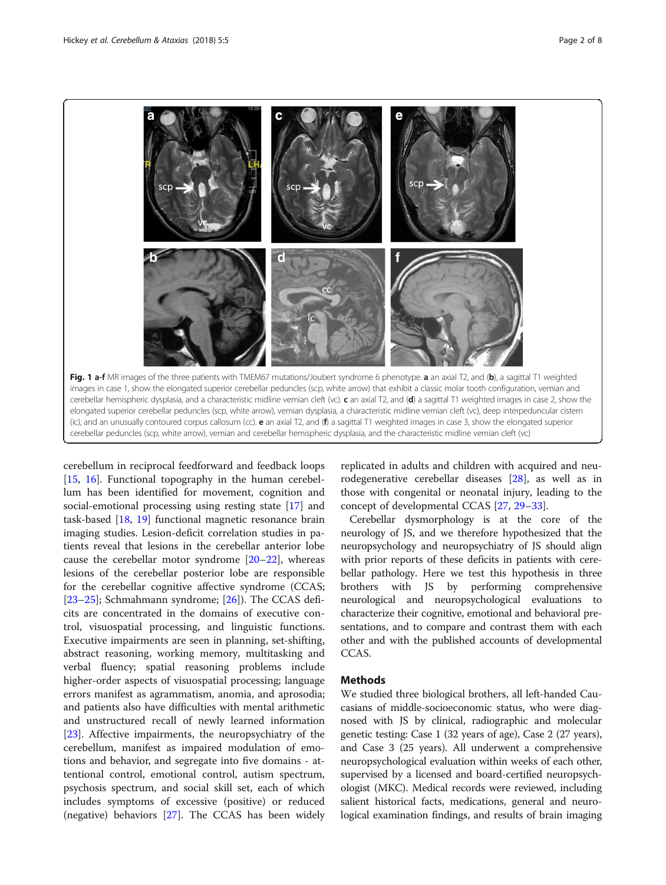<span id="page-1-0"></span>

cerebellum in reciprocal feedforward and feedback loops [[15,](#page-7-0) [16](#page-7-0)]. Functional topography in the human cerebellum has been identified for movement, cognition and social-emotional processing using resting state [[17](#page-7-0)] and task-based [\[18](#page-7-0), [19\]](#page-7-0) functional magnetic resonance brain imaging studies. Lesion-deficit correlation studies in patients reveal that lesions in the cerebellar anterior lobe cause the cerebellar motor syndrome  $[20-22]$  $[20-22]$  $[20-22]$ , whereas lesions of the cerebellar posterior lobe are responsible for the cerebellar cognitive affective syndrome (CCAS; [[23](#page-7-0)–[25](#page-7-0)]; Schmahmann syndrome; [\[26\]](#page-7-0)). The CCAS deficits are concentrated in the domains of executive control, visuospatial processing, and linguistic functions. Executive impairments are seen in planning, set-shifting, abstract reasoning, working memory, multitasking and verbal fluency; spatial reasoning problems include higher-order aspects of visuospatial processing; language errors manifest as agrammatism, anomia, and aprosodia; and patients also have difficulties with mental arithmetic and unstructured recall of newly learned information [[23\]](#page-7-0). Affective impairments, the neuropsychiatry of the cerebellum, manifest as impaired modulation of emotions and behavior, and segregate into five domains - attentional control, emotional control, autism spectrum, psychosis spectrum, and social skill set, each of which includes symptoms of excessive (positive) or reduced (negative) behaviors [[27\]](#page-7-0). The CCAS has been widely replicated in adults and children with acquired and neurodegenerative cerebellar diseases [\[28](#page-7-0)], as well as in those with congenital or neonatal injury, leading to the concept of developmental CCAS [[27,](#page-7-0) [29](#page-7-0)–[33](#page-7-0)].

Cerebellar dysmorphology is at the core of the neurology of JS, and we therefore hypothesized that the neuropsychology and neuropsychiatry of JS should align with prior reports of these deficits in patients with cerebellar pathology. Here we test this hypothesis in three brothers with JS by performing comprehensive neurological and neuropsychological evaluations to characterize their cognitive, emotional and behavioral presentations, and to compare and contrast them with each other and with the published accounts of developmental CCAS.

## **Methods**

We studied three biological brothers, all left-handed Caucasians of middle-socioeconomic status, who were diagnosed with JS by clinical, radiographic and molecular genetic testing: Case 1 (32 years of age), Case 2 (27 years), and Case 3 (25 years). All underwent a comprehensive neuropsychological evaluation within weeks of each other, supervised by a licensed and board-certified neuropsychologist (MKC). Medical records were reviewed, including salient historical facts, medications, general and neurological examination findings, and results of brain imaging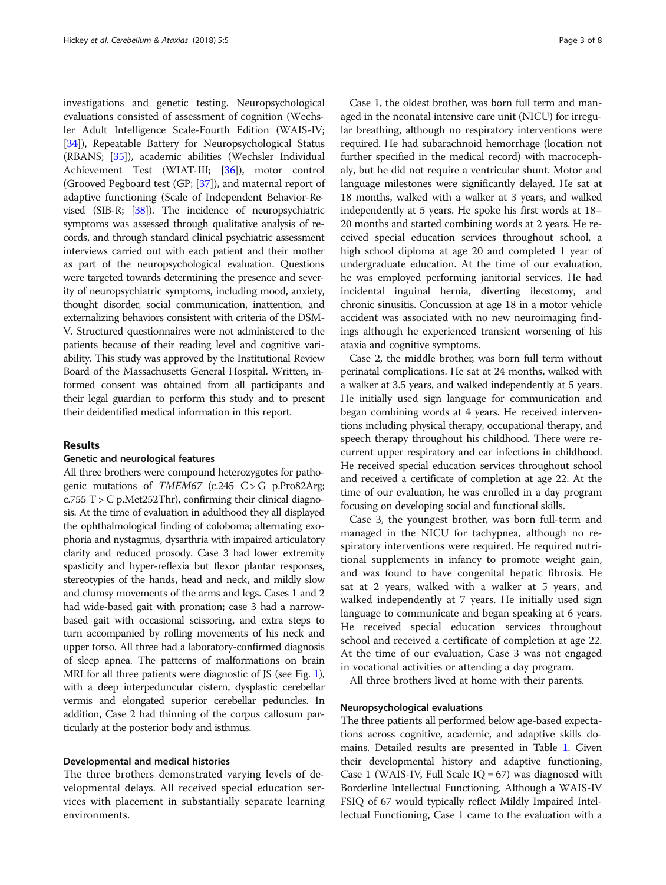investigations and genetic testing. Neuropsychological evaluations consisted of assessment of cognition (Wechsler Adult Intelligence Scale-Fourth Edition (WAIS-IV; [[34](#page-7-0)]), Repeatable Battery for Neuropsychological Status (RBANS; [\[35](#page-7-0)]), academic abilities (Wechsler Individual Achievement Test (WIAT-III; [[36](#page-7-0)]), motor control (Grooved Pegboard test (GP; [\[37\]](#page-7-0)), and maternal report of adaptive functioning (Scale of Independent Behavior-Revised (SIB-R; [[38](#page-7-0)]). The incidence of neuropsychiatric symptoms was assessed through qualitative analysis of records, and through standard clinical psychiatric assessment interviews carried out with each patient and their mother as part of the neuropsychological evaluation. Questions were targeted towards determining the presence and severity of neuropsychiatric symptoms, including mood, anxiety, thought disorder, social communication, inattention, and externalizing behaviors consistent with criteria of the DSM-V. Structured questionnaires were not administered to the patients because of their reading level and cognitive variability. This study was approved by the Institutional Review Board of the Massachusetts General Hospital. Written, informed consent was obtained from all participants and their legal guardian to perform this study and to present their deidentified medical information in this report.

## Results

## Genetic and neurological features

All three brothers were compound heterozygotes for pathogenic mutations of *TMEM67* (c.245  $C > G$  p.Pro82Arg; c.755 T > C p.Met252Thr), confirming their clinical diagnosis. At the time of evaluation in adulthood they all displayed the ophthalmological finding of coloboma; alternating exophoria and nystagmus, dysarthria with impaired articulatory clarity and reduced prosody. Case 3 had lower extremity spasticity and hyper-reflexia but flexor plantar responses, stereotypies of the hands, head and neck, and mildly slow and clumsy movements of the arms and legs. Cases 1 and 2 had wide-based gait with pronation; case 3 had a narrowbased gait with occasional scissoring, and extra steps to turn accompanied by rolling movements of his neck and upper torso. All three had a laboratory-confirmed diagnosis of sleep apnea. The patterns of malformations on brain MRI for all three patients were diagnostic of JS (see Fig. [1](#page-1-0)), with a deep interpeduncular cistern, dysplastic cerebellar vermis and elongated superior cerebellar peduncles. In addition, Case 2 had thinning of the corpus callosum particularly at the posterior body and isthmus.

## Developmental and medical histories

The three brothers demonstrated varying levels of developmental delays. All received special education services with placement in substantially separate learning environments.

Case 1, the oldest brother, was born full term and managed in the neonatal intensive care unit (NICU) for irregular breathing, although no respiratory interventions were required. He had subarachnoid hemorrhage (location not further specified in the medical record) with macrocephaly, but he did not require a ventricular shunt. Motor and language milestones were significantly delayed. He sat at 18 months, walked with a walker at 3 years, and walked independently at 5 years. He spoke his first words at 18– 20 months and started combining words at 2 years. He received special education services throughout school, a high school diploma at age 20 and completed 1 year of undergraduate education. At the time of our evaluation, he was employed performing janitorial services. He had incidental inguinal hernia, diverting ileostomy, and chronic sinusitis. Concussion at age 18 in a motor vehicle accident was associated with no new neuroimaging findings although he experienced transient worsening of his ataxia and cognitive symptoms.

Case 2, the middle brother, was born full term without perinatal complications. He sat at 24 months, walked with a walker at 3.5 years, and walked independently at 5 years. He initially used sign language for communication and began combining words at 4 years. He received interventions including physical therapy, occupational therapy, and speech therapy throughout his childhood. There were recurrent upper respiratory and ear infections in childhood. He received special education services throughout school and received a certificate of completion at age 22. At the time of our evaluation, he was enrolled in a day program focusing on developing social and functional skills.

Case 3, the youngest brother, was born full-term and managed in the NICU for tachypnea, although no respiratory interventions were required. He required nutritional supplements in infancy to promote weight gain, and was found to have congenital hepatic fibrosis. He sat at 2 years, walked with a walker at 5 years, and walked independently at 7 years. He initially used sign language to communicate and began speaking at 6 years. He received special education services throughout school and received a certificate of completion at age 22. At the time of our evaluation, Case 3 was not engaged in vocational activities or attending a day program.

All three brothers lived at home with their parents.

### Neuropsychological evaluations

The three patients all performed below age-based expectations across cognitive, academic, and adaptive skills domains. Detailed results are presented in Table [1](#page-3-0). Given their developmental history and adaptive functioning, Case 1 (WAIS-IV, Full Scale  $IQ = 67$ ) was diagnosed with Borderline Intellectual Functioning. Although a WAIS-IV FSIQ of 67 would typically reflect Mildly Impaired Intellectual Functioning, Case 1 came to the evaluation with a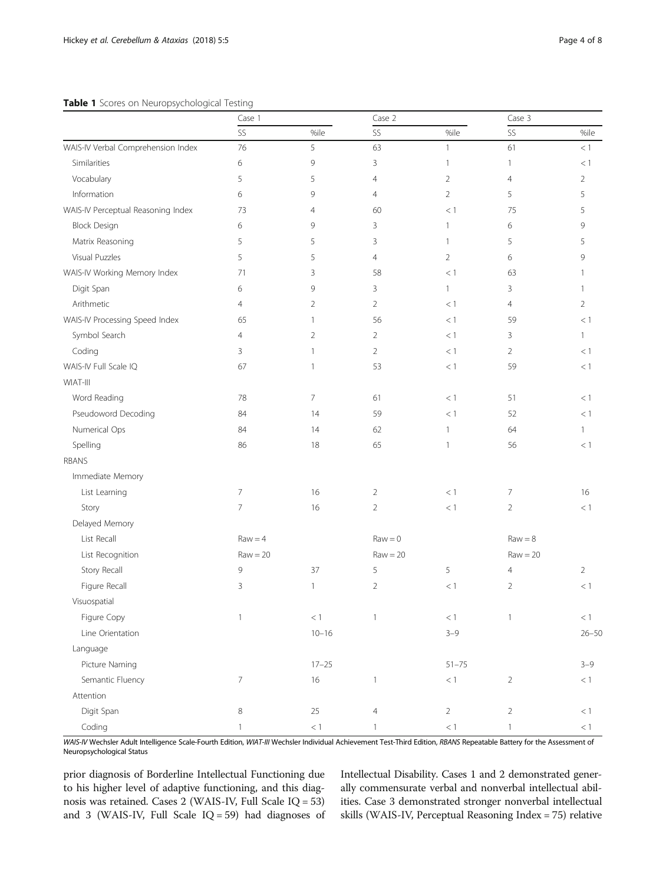## <span id="page-3-0"></span>Table 1 Scores on Neuropsychological Testing

|                                    | Case 1            |                | Case 2         |                | Case 3         |                |
|------------------------------------|-------------------|----------------|----------------|----------------|----------------|----------------|
|                                    | SS                | %ile           | SS             | %ile           | SS             | %ile           |
| WAIS-IV Verbal Comprehension Index | 76                | 5              | 63             | $\mathbf{1}$   | 61             | $<$ 1          |
| Similarities                       | 6                 | 9              | 3              | $\mathbf{1}$   | $\mathbf{1}$   | < 1            |
| Vocabulary                         | 5                 | 5              | $\overline{4}$ | $\overline{2}$ | $\overline{4}$ | $\overline{2}$ |
| Information                        | 6                 | 9              | $\overline{4}$ | $\overline{2}$ | 5              | 5              |
| WAIS-IV Perceptual Reasoning Index | 73                | 4              | 60             | $<$ 1          | 75             | 5              |
| <b>Block Design</b>                | 6                 | 9              | 3              | $\mathbf{1}$   | 6              | 9              |
| Matrix Reasoning                   | 5                 | 5              | 3              | $\mathbf{1}$   | 5              | 5              |
| Visual Puzzles                     | 5                 | 5              | $\overline{4}$ | $\overline{2}$ | 6              | 9              |
| WAIS-IV Working Memory Index       | 71                | 3              | 58             | <1             | 63             | 1              |
| Digit Span                         | 6                 | 9              | 3              | $\mathbf{1}$   | 3              | $\mathbf{1}$   |
| Arithmetic                         | $\overline{4}$    | $\overline{2}$ | $\overline{2}$ | < 1            | $\overline{4}$ | $\overline{2}$ |
| WAIS-IV Processing Speed Index     | 65                | $\mathbf{1}$   | 56             | < 1            | 59             | < 1            |
| Symbol Search                      | $\overline{4}$    | $\overline{2}$ | $\overline{2}$ | < 1            | 3              | $\mathbf{1}$   |
| Coding                             | 3                 | $\mathbf{1}$   | $\overline{2}$ | < 1            | 2              | <1             |
| WAIS-IV Full Scale IQ              | 67                | $\mathbf{1}$   | 53             | $<1\,$         | 59             | $<1\,$         |
| WIAT-III                           |                   |                |                |                |                |                |
| Word Reading                       | 78                | 7              | 61             | < 1            | 51             | < 1            |
| Pseudoword Decoding                | 84                | 14             | 59             | < 1            | 52             | $<1\,$         |
| Numerical Ops                      | 84                | 14             | 62             | $\mathbf{1}$   | 64             | $\mathbf{1}$   |
| Spelling                           | 86                | 18             | 65             | $\mathbf{1}$   | 56             | < 1            |
| <b>RBANS</b>                       |                   |                |                |                |                |                |
| Immediate Memory                   |                   |                |                |                |                |                |
| List Learning                      | $\overline{7}$    | 16             | $\overline{2}$ | < 1            | 7              | 16             |
| Story                              | 7                 | 16             | $\overline{2}$ | $<1\,$         | $\overline{2}$ | $<\,1$         |
| Delayed Memory                     |                   |                |                |                |                |                |
| List Recall                        | $Raw = 4$         |                | $Raw = 0$      |                | $Raw = 8$      |                |
| List Recognition                   | $\text{Raw} = 20$ |                | $Raw = 20$     |                | $Raw = 20$     |                |
| Story Recall                       | 9                 | 37             | 5              | 5              | 4              | $\overline{2}$ |
| Figure Recall                      | 3                 | $\mathbf{1}$   | $\overline{2}$ | <1             | $\overline{2}$ | < 1            |
| Visuospatial                       |                   |                |                |                |                |                |
| Figure Copy                        | 1                 | < 1            |                | < 1            |                | $\leq 1$       |
| Line Orientation                   |                   | $10 - 16$      |                | $3 - 9$        |                | $26 - 50$      |
| Language                           |                   |                |                |                |                |                |
| Picture Naming                     |                   | $17 - 25$      |                | $51 - 75$      |                | $3 - 9$        |
| Semantic Fluency                   | $\overline{7}$    | 16             | $\mathbf{1}$   | $\leq 1$       | $\overline{2}$ | $<1\,$         |
| Attention                          |                   |                |                |                |                |                |
| Digit Span                         | $\,8\,$           | 25             | $\overline{4}$ | $\sqrt{2}$     | $\overline{2}$ | < 1            |
| Coding                             | $\mathbf{1}$      | $<1\,$         | $\mathbf{1}$   | $< 1\,$        | $\mathbf{1}$   | $< 1\,$        |

WAIS-IV Wechsler Adult Intelligence Scale-Fourth Edition, WIAT-III Wechsler Individual Achievement Test-Third Edition, RBANS Repeatable Battery for the Assessment of Neuropsychological Status

prior diagnosis of Borderline Intellectual Functioning due to his higher level of adaptive functioning, and this diagnosis was retained. Cases 2 (WAIS-IV, Full Scale IQ = 53) and 3 (WAIS-IV, Full Scale  $IQ = 59$ ) had diagnoses of Intellectual Disability. Cases 1 and 2 demonstrated generally commensurate verbal and nonverbal intellectual abilities. Case 3 demonstrated stronger nonverbal intellectual skills (WAIS-IV, Perceptual Reasoning Index = 75) relative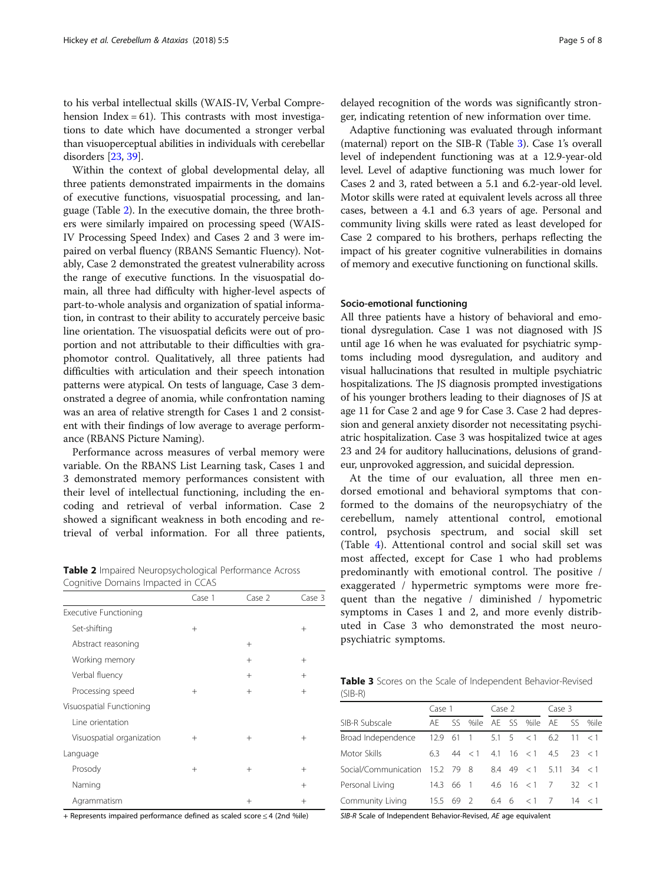to his verbal intellectual skills (WAIS-IV, Verbal Comprehension Index  $= 61$ ). This contrasts with most investigations to date which have documented a stronger verbal than visuoperceptual abilities in individuals with cerebellar disorders [\[23,](#page-7-0) [39](#page-7-0)].

Within the context of global developmental delay, all three patients demonstrated impairments in the domains of executive functions, visuospatial processing, and language (Table 2). In the executive domain, the three brothers were similarly impaired on processing speed (WAIS-IV Processing Speed Index) and Cases 2 and 3 were impaired on verbal fluency (RBANS Semantic Fluency). Notably, Case 2 demonstrated the greatest vulnerability across the range of executive functions. In the visuospatial domain, all three had difficulty with higher-level aspects of part-to-whole analysis and organization of spatial information, in contrast to their ability to accurately perceive basic line orientation. The visuospatial deficits were out of proportion and not attributable to their difficulties with graphomotor control. Qualitatively, all three patients had difficulties with articulation and their speech intonation patterns were atypical. On tests of language, Case 3 demonstrated a degree of anomia, while confrontation naming was an area of relative strength for Cases 1 and 2 consistent with their findings of low average to average performance (RBANS Picture Naming).

Performance across measures of verbal memory were variable. On the RBANS List Learning task, Cases 1 and 3 demonstrated memory performances consistent with their level of intellectual functioning, including the encoding and retrieval of verbal information. Case 2 showed a significant weakness in both encoding and retrieval of verbal information. For all three patients,

Table 2 Impaired Neuropsychological Performance Across Cognitive Domains Impacted in CCAS

|                              | Case 1 | Case 2 | Case 3 |
|------------------------------|--------|--------|--------|
| <b>Executive Functioning</b> |        |        |        |
| Set-shifting                 | $^{+}$ |        | $^{+}$ |
| Abstract reasoning           |        | $^{+}$ |        |
| Working memory               |        | $^{+}$ | $^{+}$ |
| Verbal fluency               |        | $^{+}$ | $^{+}$ |
| Processing speed             | $^+$   | $^{+}$ | $^{+}$ |
| Visuospatial Functioning     |        |        |        |
| Line orientation             |        |        |        |
| Visuospatial organization    | $^+$   | $^{+}$ | $^{+}$ |
| Language                     |        |        |        |
| Prosody                      | $^{+}$ | $^{+}$ | $^{+}$ |
| Naming                       |        |        | $^{+}$ |
| Agrammatism                  |        | $^{+}$ | $^+$   |

+ Represents impaired performance defined as scaled score ≤ 4 (2nd %ile)

delayed recognition of the words was significantly stronger, indicating retention of new information over time.

Adaptive functioning was evaluated through informant (maternal) report on the SIB-R (Table 3). Case 1's overall level of independent functioning was at a 12.9-year-old level. Level of adaptive functioning was much lower for Cases 2 and 3, rated between a 5.1 and 6.2-year-old level. Motor skills were rated at equivalent levels across all three cases, between a 4.1 and 6.3 years of age. Personal and community living skills were rated as least developed for Case 2 compared to his brothers, perhaps reflecting the impact of his greater cognitive vulnerabilities in domains of memory and executive functioning on functional skills.

## Socio-emotional functioning

All three patients have a history of behavioral and emotional dysregulation. Case 1 was not diagnosed with JS until age 16 when he was evaluated for psychiatric symptoms including mood dysregulation, and auditory and visual hallucinations that resulted in multiple psychiatric hospitalizations. The JS diagnosis prompted investigations of his younger brothers leading to their diagnoses of JS at age 11 for Case 2 and age 9 for Case 3. Case 2 had depression and general anxiety disorder not necessitating psychiatric hospitalization. Case 3 was hospitalized twice at ages 23 and 24 for auditory hallucinations, delusions of grandeur, unprovoked aggression, and suicidal depression.

At the time of our evaluation, all three men endorsed emotional and behavioral symptoms that conformed to the domains of the neuropsychiatry of the cerebellum, namely attentional control, emotional control, psychosis spectrum, and social skill set (Table [4](#page-5-0)). Attentional control and social skill set was most affected, except for Case 1 who had problems predominantly with emotional control. The positive / exaggerated / hypermetric symptoms were more frequent than the negative / diminished / hypometric symptoms in Cases 1 and 2, and more evenly distributed in Case 3 who demonstrated the most neuropsychiatric symptoms.

Table 3 Scores on the Scale of Independent Behavior-Revised (SIB-R)

|                                                         | Case 1        |  | Case 2 |  | Case 3 |                                                   |  |  |            |
|---------------------------------------------------------|---------------|--|--------|--|--------|---------------------------------------------------|--|--|------------|
| SIB-R Subscale                                          | AF            |  |        |  |        | SS %ile AE SS %ile AE SS %ile                     |  |  |            |
| Broad Independence $12.9 \t61 \t1 \t5.1 \t5 \t<1 \t6.2$ |               |  |        |  |        |                                                   |  |  | 11 < 1     |
| Motor Skills                                            | 6.3           |  |        |  |        | $44 \times 1$ 4.1 16 $\times 1$ 4.5 23 $\times 1$ |  |  |            |
| Social/Communication 15.2 79 8                          |               |  |        |  |        | $8.4$ 49 $<$ 1 5.11 34 $<$ 1                      |  |  |            |
| Personal Living                                         | 14.3 66 1     |  |        |  |        | $4.6$ $16$ $< 1$ 7                                |  |  | 32 < 1     |
| Community Living                                        | $15.5 \t69$ 2 |  |        |  |        | $6.4 \t6 \t < 1 \t 7$                             |  |  | $14 \le 1$ |

SIB-R Scale of Independent Behavior-Revised, AE age equivalent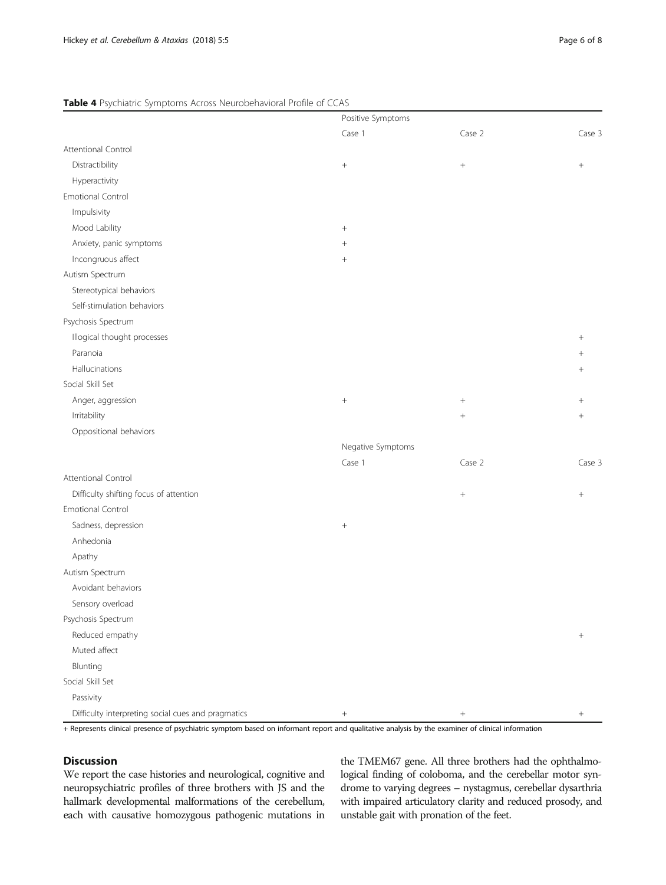<span id="page-5-0"></span>

| Table 4 Psychiatric Symptoms Across Neurobehavioral Profile of CCAS |  |
|---------------------------------------------------------------------|--|

|                                                    | Positive Symptoms |                  |        |  |  |
|----------------------------------------------------|-------------------|------------------|--------|--|--|
|                                                    | Case 1            | Case 2           | Case 3 |  |  |
| Attentional Control                                |                   |                  |        |  |  |
| Distractibility                                    | $\! + \!$         |                  | $^{+}$ |  |  |
| Hyperactivity                                      |                   |                  |        |  |  |
| Emotional Control                                  |                   |                  |        |  |  |
| Impulsivity                                        |                   |                  |        |  |  |
| Mood Lability                                      | $^+$              |                  |        |  |  |
| Anxiety, panic symptoms                            | $^+$              |                  |        |  |  |
| Incongruous affect                                 | $^+$              |                  |        |  |  |
| Autism Spectrum                                    |                   |                  |        |  |  |
| Stereotypical behaviors                            |                   |                  |        |  |  |
| Self-stimulation behaviors                         |                   |                  |        |  |  |
| Psychosis Spectrum                                 |                   |                  |        |  |  |
| Illogical thought processes                        |                   |                  | $^{+}$ |  |  |
| Paranoia                                           |                   |                  | $^{+}$ |  |  |
| Hallucinations                                     |                   |                  | $^{+}$ |  |  |
| Social Skill Set                                   |                   |                  |        |  |  |
| Anger, aggression                                  |                   | $\! + \!\!\!\!$  | $^{+}$ |  |  |
| Irritability                                       |                   | $\! + \!\!\!\!$  | $^{+}$ |  |  |
| Oppositional behaviors                             |                   |                  |        |  |  |
|                                                    | Negative Symptoms |                  |        |  |  |
|                                                    | Case 1            | Case 2           | Case 3 |  |  |
| Attentional Control                                |                   |                  |        |  |  |
| Difficulty shifting focus of attention             |                   | $^+$             | $^{+}$ |  |  |
| <b>Emotional Control</b>                           |                   |                  |        |  |  |
| Sadness, depression                                |                   |                  |        |  |  |
| Anhedonia                                          |                   |                  |        |  |  |
| Apathy                                             |                   |                  |        |  |  |
| Autism Spectrum                                    |                   |                  |        |  |  |
| Avoidant behaviors                                 |                   |                  |        |  |  |
| Sensory overload                                   |                   |                  |        |  |  |
| Psychosis Spectrum                                 |                   |                  |        |  |  |
| Reduced empathy                                    |                   |                  | $^{+}$ |  |  |
| Muted affect                                       |                   |                  |        |  |  |
| Blunting                                           |                   |                  |        |  |  |
| Social Skill Set                                   |                   |                  |        |  |  |
| Passivity                                          |                   |                  |        |  |  |
| Difficulty interpreting social cues and pragmatics | $\! +$            | $\boldsymbol{+}$ | $^{+}$ |  |  |

+ Represents clinical presence of psychiatric symptom based on informant report and qualitative analysis by the examiner of clinical information

## Discussion

We report the case histories and neurological, cognitive and neuropsychiatric profiles of three brothers with JS and the hallmark developmental malformations of the cerebellum, each with causative homozygous pathogenic mutations in

the TMEM67 gene. All three brothers had the ophthalmological finding of coloboma, and the cerebellar motor syndrome to varying degrees – nystagmus, cerebellar dysarthria with impaired articulatory clarity and reduced prosody, and unstable gait with pronation of the feet.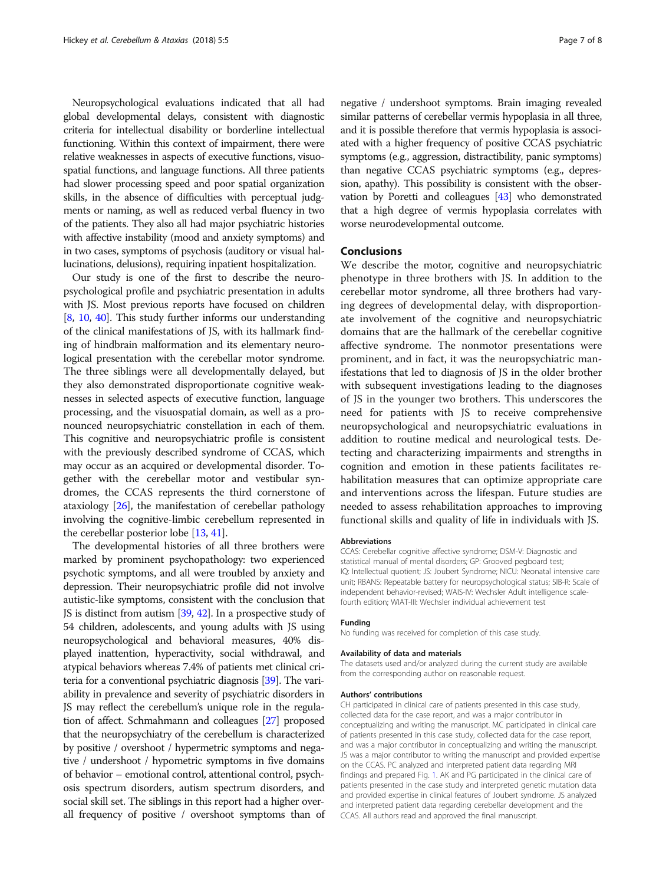Neuropsychological evaluations indicated that all had global developmental delays, consistent with diagnostic criteria for intellectual disability or borderline intellectual functioning. Within this context of impairment, there were relative weaknesses in aspects of executive functions, visuospatial functions, and language functions. All three patients had slower processing speed and poor spatial organization skills, in the absence of difficulties with perceptual judgments or naming, as well as reduced verbal fluency in two of the patients. They also all had major psychiatric histories with affective instability (mood and anxiety symptoms) and in two cases, symptoms of psychosis (auditory or visual hallucinations, delusions), requiring inpatient hospitalization.

Our study is one of the first to describe the neuropsychological profile and psychiatric presentation in adults with JS. Most previous reports have focused on children [[8,](#page-7-0) [10,](#page-7-0) [40](#page-7-0)]. This study further informs our understanding of the clinical manifestations of JS, with its hallmark finding of hindbrain malformation and its elementary neurological presentation with the cerebellar motor syndrome. The three siblings were all developmentally delayed, but they also demonstrated disproportionate cognitive weaknesses in selected aspects of executive function, language processing, and the visuospatial domain, as well as a pronounced neuropsychiatric constellation in each of them. This cognitive and neuropsychiatric profile is consistent with the previously described syndrome of CCAS, which may occur as an acquired or developmental disorder. Together with the cerebellar motor and vestibular syndromes, the CCAS represents the third cornerstone of ataxiology [\[26\]](#page-7-0), the manifestation of cerebellar pathology involving the cognitive-limbic cerebellum represented in the cerebellar posterior lobe [\[13](#page-7-0), [41](#page-7-0)].

The developmental histories of all three brothers were marked by prominent psychopathology: two experienced psychotic symptoms, and all were troubled by anxiety and depression. Their neuropsychiatric profile did not involve autistic-like symptoms, consistent with the conclusion that JS is distinct from autism [[39](#page-7-0), [42\]](#page-7-0). In a prospective study of 54 children, adolescents, and young adults with JS using neuropsychological and behavioral measures, 40% displayed inattention, hyperactivity, social withdrawal, and atypical behaviors whereas 7.4% of patients met clinical criteria for a conventional psychiatric diagnosis [\[39\]](#page-7-0). The variability in prevalence and severity of psychiatric disorders in JS may reflect the cerebellum's unique role in the regulation of affect. Schmahmann and colleagues [[27](#page-7-0)] proposed that the neuropsychiatry of the cerebellum is characterized by positive / overshoot / hypermetric symptoms and negative / undershoot / hypometric symptoms in five domains of behavior – emotional control, attentional control, psychosis spectrum disorders, autism spectrum disorders, and social skill set. The siblings in this report had a higher overall frequency of positive / overshoot symptoms than of

negative / undershoot symptoms. Brain imaging revealed similar patterns of cerebellar vermis hypoplasia in all three, and it is possible therefore that vermis hypoplasia is associated with a higher frequency of positive CCAS psychiatric symptoms (e.g., aggression, distractibility, panic symptoms) than negative CCAS psychiatric symptoms (e.g., depression, apathy). This possibility is consistent with the observation by Poretti and colleagues [\[43\]](#page-7-0) who demonstrated that a high degree of vermis hypoplasia correlates with worse neurodevelopmental outcome.

## Conclusions

We describe the motor, cognitive and neuropsychiatric phenotype in three brothers with JS. In addition to the cerebellar motor syndrome, all three brothers had varying degrees of developmental delay, with disproportionate involvement of the cognitive and neuropsychiatric domains that are the hallmark of the cerebellar cognitive affective syndrome. The nonmotor presentations were prominent, and in fact, it was the neuropsychiatric manifestations that led to diagnosis of JS in the older brother with subsequent investigations leading to the diagnoses of JS in the younger two brothers. This underscores the need for patients with JS to receive comprehensive neuropsychological and neuropsychiatric evaluations in addition to routine medical and neurological tests. Detecting and characterizing impairments and strengths in cognition and emotion in these patients facilitates rehabilitation measures that can optimize appropriate care and interventions across the lifespan. Future studies are needed to assess rehabilitation approaches to improving functional skills and quality of life in individuals with JS.

#### Abbreviations

CCAS: Cerebellar cognitive affective syndrome; DSM-V: Diagnostic and statistical manual of mental disorders; GP: Grooved pegboard test; IQ: Intellectual quotient; JS: Joubert Syndrome; NICU: Neonatal intensive care unit; RBANS: Repeatable battery for neuropsychological status; SIB-R: Scale of independent behavior-revised; WAIS-IV: Wechsler Adult intelligence scalefourth edition; WIAT-III: Wechsler individual achievement test

#### Funding

No funding was received for completion of this case study.

#### Availability of data and materials

The datasets used and/or analyzed during the current study are available from the corresponding author on reasonable request.

#### Authors' contributions

CH participated in clinical care of patients presented in this case study, collected data for the case report, and was a major contributor in conceptualizing and writing the manuscript. MC participated in clinical care of patients presented in this case study, collected data for the case report, and was a major contributor in conceptualizing and writing the manuscript. JS was a major contributor to writing the manuscript and provided expertise on the CCAS. PC analyzed and interpreted patient data regarding MRI findings and prepared Fig. [1](#page-1-0). AK and PG participated in the clinical care of patients presented in the case study and interpreted genetic mutation data and provided expertise in clinical features of Joubert syndrome. JS analyzed and interpreted patient data regarding cerebellar development and the CCAS. All authors read and approved the final manuscript.